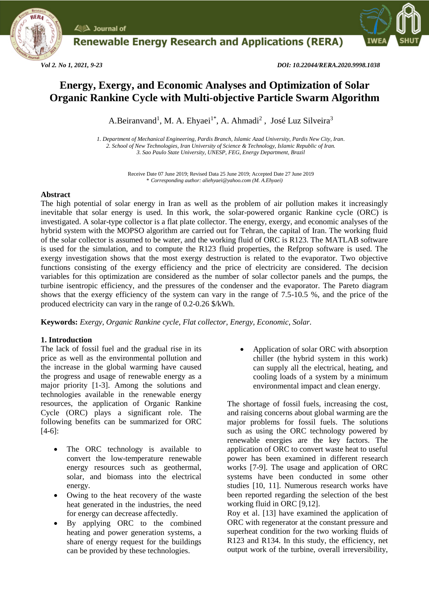

**Renewable Energy Research and Applications (RERA)** 



*Vol 2. No 1, 2021, 9-23 DOI: 10.22044/RERA.2020.9998.1038*

# **Energy, Exergy, and Economic Analyses and Optimization of Solar Organic Rankine Cycle with Multi-objective Particle Swarm Algorithm**

A.Beiranvand<sup>1</sup>, M. A. Ehyaei<sup>1\*</sup>, A. Ahmadi<sup>2</sup>, José Luz Silveira<sup>3</sup>

*1. Department of Mechanical Engineering, Pardis Branch, Islamic Azad University, Pardis New City, Iran. 2. School of New Technologies, Iran University of Science & Technology, Islamic Republic of Iran. 3. Sao Paulo State University, UNESP, FEG, Energy Department, Brazil*

> Receive Date 07 June 2019; Revised Data 25 June 2019; Accepted Date 27 June 2019 *\* Corresponding author: aliehyaei@yahoo.com (M. A.Ehyaei)*

### **Abstract**

The high potential of solar energy in Iran as well as the problem of air pollution makes it increasingly inevitable that solar energy is used. In this work, the solar-powered organic Rankine cycle (ORC) is investigated. A solar-type collector is a flat plate collector. The energy, exergy, and economic analyses of the hybrid system with the MOPSO algorithm are carried out for Tehran, the capital of Iran. The working fluid of the solar collector is assumed to be water, and the working fluid of ORC is R123. The MATLAB software is used for the simulation, and to compute the R123 fluid properties, the Refprop software is used. The exergy investigation shows that the most exergy destruction is related to the evaporator. Two objective functions consisting of the exergy efficiency and the price of electricity are considered. The decision variables for this optimization are considered as the number of solar collector panels and the pumps, the turbine isentropic efficiency, and the pressures of the condenser and the evaporator. The Pareto diagram shows that the exergy efficiency of the system can vary in the range of 7.5-10.5 %, and the price of the produced electricity can vary in the range of 0.2-0.26 \$/kWh.

**Keywords:** *Exergy, Organic Rankine cycle, Flat collector, Energy, Economic, Solar.*

## **1. Introduction**

The lack of fossil fuel and the gradual rise in its price as well as the environmental pollution and the increase in the global warming have caused the progress and usage of renewable energy as a major priority [1-3]. Among the solutions and technologies available in the renewable energy resources, the application of Organic Rankine Cycle (ORC) plays a significant role. The following benefits can be summarized for ORC [4-6]:

- The ORC technology is available to convert the low-temperature renewable energy resources such as geothermal, solar, and biomass into the electrical energy.
- Owing to the heat recovery of the waste heat generated in the industries, the need for energy can decrease affectedly.
- By applying ORC to the combined heating and power generation systems, a share of energy request for the buildings can be provided by these technologies.

 Application of solar ORC with absorption chiller (the hybrid system in this work) can supply all the electrical, heating, and cooling loads of a system by a minimum environmental impact and clean energy.

The shortage of fossil fuels, increasing the cost, and raising concerns about global warming are the major problems for fossil fuels. The solutions such as using the ORC technology powered by renewable energies are the key factors. The application of ORC to convert waste heat to useful power has been examined in different research works [7-9]. The usage and application of ORC systems have been conducted in some other studies [10, 11]. Numerous research works have been reported regarding the selection of the best working fluid in ORC [9,12].

Roy et al. [13] have examined the application of ORC with regenerator at the constant pressure and superheat condition for the two working fluids of R123 and R134. In this study, the efficiency, net output work of the turbine, overall irreversibility,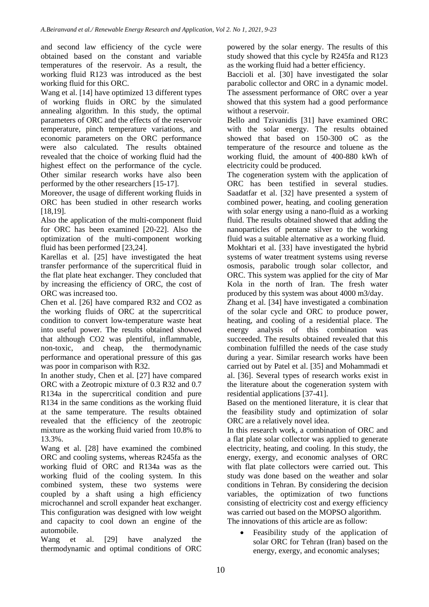and second law efficiency of the cycle were obtained based on the constant and variable temperatures of the reservoir. As a result, the working fluid R123 was introduced as the best working fluid for this ORC.

Wang et al. [14] have optimized 13 different types of working fluids in ORC by the simulated annealing algorithm. In this study, the optimal parameters of ORC and the effects of the reservoir temperature, pinch temperature variations, and economic parameters on the ORC performance were also calculated. The results obtained revealed that the choice of working fluid had the highest effect on the performance of the cycle. Other similar research works have also been performed by the other researchers [15-17].

Moreover, the usage of different working fluids in ORC has been studied in other research works [18,19].

Also the application of the multi-component fluid for ORC has been examined [20-22]. Also the optimization of the multi-component working fluid has been performed [23,24].

Karellas et al. [25] have investigated the heat transfer performance of the supercritical fluid in the flat plate heat exchanger. They concluded that by increasing the efficiency of ORC, the cost of ORC was increased too.

Chen et al. [26] have compared R32 and CO2 as the working fluids of ORC at the supercritical condition to convert low-temperature waste heat into useful power. The results obtained showed that although CO2 was plentiful, inflammable, non-toxic, and cheap, the thermodynamic performance and operational pressure of this gas was poor in comparison with R32.

In another study, Chen et al. [27] have compared ORC with a Zeotropic mixture of 0.3 R32 and 0.7 R134a in the supercritical condition and pure R134 in the same conditions as the working fluid at the same temperature. The results obtained revealed that the efficiency of the zeotropic mixture as the working fluid varied from 10.8% to 13.3%.

Wang et al. [28] have examined the combined ORC and cooling systems, whereas R245fa as the working fluid of ORC and R134a was as the working fluid of the cooling system. In this combined system, these two systems were coupled by a shaft using a high efficiency microchannel and scroll expander heat exchanger. This configuration was designed with low weight and capacity to cool down an engine of the automobile.

Wang et al. [29] have analyzed the thermodynamic and optimal conditions of ORC powered by the solar energy. The results of this study showed that this cycle by R245fa and R123 as the working fluid had a better efficiency.

Baccioli et al. [30] have investigated the solar parabolic collector and ORC in a dynamic model. The assessment performance of ORC over a year showed that this system had a good performance without a reservoir.

Bello and Tzivanidis [31] have examined ORC with the solar energy. The results obtained showed that based on 150-300 oC as the temperature of the resource and toluene as the working fluid, the amount of 400-880 kWh of electricity could be produced.

The cogeneration system with the application of ORC has been testified in several studies. Saadatfar et al. [32] have presented a system of combined power, heating, and cooling generation with solar energy using a nano-fluid as a working fluid. The results obtained showed that adding the nanoparticles of pentane silver to the working fluid was a suitable alternative as a working fluid.

Mokhtari et al. [33] have investigated the hybrid systems of water treatment systems using reverse osmosis, parabolic trough solar collector, and ORC. This system was applied for the city of Mar Kola in the north of Iran. The fresh water produced by this system was about 4000 m3/day.

Zhang et al. [34] have investigated a combination of the solar cycle and ORC to produce power, heating, and cooling of a residential place. The energy analysis of this combination was succeeded. The results obtained revealed that this combination fulfilled the needs of the case study during a year. Similar research works have been carried out by Patel et al. [35] and Mohammadi et al. [36]. Several types of research works exist in the literature about the cogeneration system with residential applications [37-41].

Based on the mentioned literature, it is clear that the feasibility study and optimization of solar ORC are a relatively novel idea.

In this research work, a combination of ORC and a flat plate solar collector was applied to generate electricity, heating, and cooling. In this study, the energy, exergy, and economic analyses of ORC with flat plate collectors were carried out. This study was done based on the weather and solar conditions in Tehran. By considering the decision variables, the optimization of two functions consisting of electricity cost and exergy efficiency was carried out based on the MOPSO algorithm. The innovations of this article are as follow:

 Feasibility study of the application of solar ORC for Tehran (Iran) based on the energy, exergy, and economic analyses;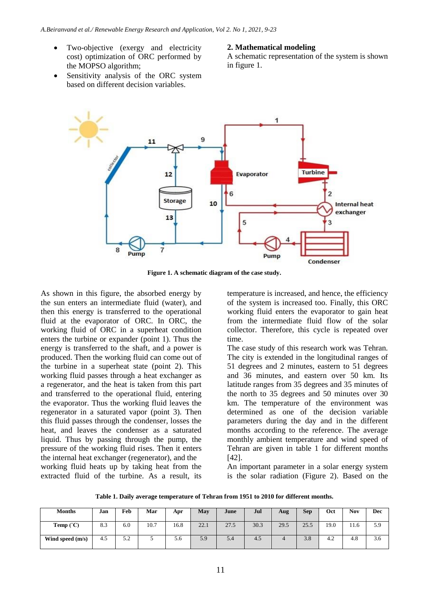- Two-objective (exergy and electricity cost) optimization of ORC performed by the MOPSO algorithm;
- Sensitivity analysis of the ORC system based on different decision variables.

### **2. Mathematical modeling**

A schematic representation of the system is shown in figure 1.



**Figure 1. A schematic diagram of the case study.**

As shown in this figure, the absorbed energy by the sun enters an intermediate fluid (water), and then this energy is transferred to the operational fluid at the evaporator of ORC. In ORC, the working fluid of ORC in a superheat condition enters the turbine or expander (point 1). Thus the energy is transferred to the shaft, and a power is produced. Then the working fluid can come out of the turbine in a superheat state (point 2). This working fluid passes through a heat exchanger as a regenerator, and the heat is taken from this part and transferred to the operational fluid, entering the evaporator. Thus the working fluid leaves the regenerator in a saturated vapor (point 3). Then this fluid passes through the condenser, losses the heat, and leaves the condenser as a saturated liquid. Thus by passing through the pump, the pressure of the working fluid rises. Then it enters the internal heat exchanger (regenerator), and the working fluid heats up by taking heat from the extracted fluid of the turbine. As a result, its

temperature is increased, and hence, the efficiency of the system is increased too. Finally, this ORC working fluid enters the evaporator to gain heat from the intermediate fluid flow of the solar collector. Therefore, this cycle is repeated over time.

The case study of this research work was Tehran. The city is extended in the longitudinal ranges of 51 degrees and 2 minutes, eastern to 51 degrees and 36 minutes, and eastern over 50 km. Its latitude ranges from 35 degrees and 35 minutes of the north to 35 degrees and 50 minutes over 30 km. The temperature of the environment was determined as one of the decision variable parameters during the day and in the different months according to the reference. The average monthly ambient temperature and wind speed of Tehran are given in table 1 for different months [42].

An important parameter in a solar energy system is the solar radiation (Figure 2). Based on the

**Table 1. Daily average temperature of Tehran from 1951 to 2010 for different months.**

| <b>Months</b>             | Jan | Feb       | Mar  | Apr  | May  | June | Jul  | Aug  | <b>Sep</b> | Oct  | Nov  | Dec           |
|---------------------------|-----|-----------|------|------|------|------|------|------|------------|------|------|---------------|
| <b>Temp</b> $(^{\circ}C)$ | 8.3 | 6.0       | 10.7 | 16.8 | 22.1 | 27.5 | 30.3 | 29.5 | 25.5       | 19.0 | 11.6 | 5.9           |
| Wind speed (m/s)          | 4.5 | 50<br>ے ۔ |      | 5.6  | 5.9  | 5.4  | 4.5  |      | 3.8        | 4.2  | 4.8  | $\sim$<br>3.0 |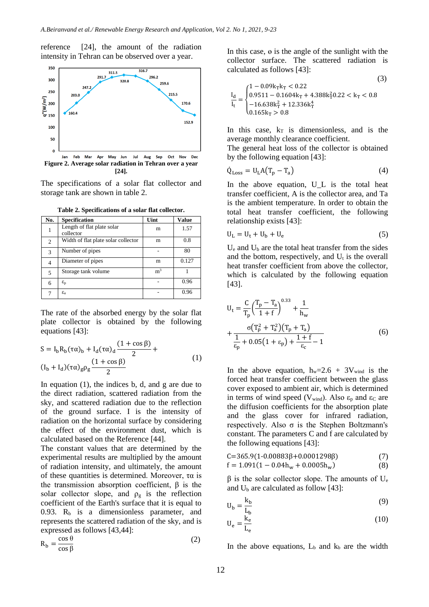reference [24], the amount of the radiation intensity in Tehran can be observed over a year.



**[24].**

The specifications of a solar flat collector and storage tank are shown in table 2.

| No. | <b>Specification</b>                    | Uint           | <b>Value</b> |
|-----|-----------------------------------------|----------------|--------------|
|     | Length of flat plate solar<br>collector | m              | 1.57         |
| 2   | Width of flat plate solar collector     | m              | 0.8          |
| 3   | Number of pipes                         |                | 80           |
| 4   | Diameter of pipes                       | m              | 0.127        |
| 5   | Storage tank volume                     | m <sup>3</sup> |              |
| 6   | $\varepsilon_{\rm p}$                   |                | 0.96         |
|     | $\varepsilon_{a}$                       |                | 0.96         |

**Table 2. Specifications of a solar flat collector.**

The rate of the absorbed energy by the solar flat plate collector is obtained by the following equations [43]:

$$
S = I_{b}R_{b}(\tau\alpha)_{b} + I_{d}(\tau\alpha)_{d}\frac{(1 + \cos \beta)}{2} +
$$
  
(I<sub>b</sub> + I<sub>d</sub>)( $\tau\alpha$ )<sub>g</sub> $\rho_{g}\frac{(1 + \cos \beta)}{2}$  (1)

In equation (1), the indices b, d, and g are due to the direct radiation, scattered radiation from the sky, and scattered radiation due to the reflection of the ground surface. I is the intensity of radiation on the horizontal surface by considering the effect of the environment dust, which is calculated based on the Reference [44].

The constant values that are determined by the experimental results are multiplied by the amount of radiation intensity, and ultimately, the amount of these quantities is determined. Moreover, τα is the transmission absorption coefficient,  $β$  is the solar collector slope, and  $\rho_{\rm g}$  is the reflection coefficient of the Earth's surface that it is equal to 0.93.  $R_b$  is a dimensionless parameter, and represents the scattered radiation of the sky, and is expressed as follows [43,44]:

$$
R_b = \frac{\cos \theta}{\cos \beta} \tag{2}
$$

In this case, ɵ is the angle of the sunlight with the collector surface. The scattered radiation is calculated as follows [43]:

 $(2)$ 

$$
\frac{I_d}{I_t} = \begin{cases}\n1 - 0.09k_T k_T < 0.22 \\
0.9511 - 0.1604 k_T + 4.388 k_T^2 0.22 < k_T < 0.8 \\
-16.638 k_T^2 + 12.336 k_T^4 \\
0.165 k_T > 0.8\n\end{cases}
$$

In this case,  $k_T$  is dimensionless, and is the average monthly clearance coefficient.

The general heat loss of the collector is obtained by the following equation [43]:

$$
\dot{Q}_{\text{Loss}} = U_{\text{L}} A (T_{\text{p}} - T_{\text{a}}) \tag{4}
$$

In the above equation, U\_L is the total heat transfer coefficient, A is the collector area, and Ta is the ambient temperature. In order to obtain the total heat transfer coefficient, the following relationship exists [43]:

$$
U_{L} = U_{t} + U_{b} + U_{e}
$$
 (5)

U<sup>e</sup> and U<sup>b</sup> are the total heat transfer from the sides and the bottom, respectively, and  $U_t$  is the overall heat transfer coefficient from above the collector, which is calculated by the following equation [43].

$$
U_{t} = \frac{C}{T_{p}} \left(\frac{T_{p} - T_{a}}{1 + f}\right)^{0.33} + \frac{1}{h_{w}}
$$
  
+ 
$$
\frac{\sigma (T_{p}^{2} + T_{a}^{2})(T_{p} + T_{a})}{\frac{1}{\epsilon_{p}} + 0.05(1 + \epsilon_{p}) + \frac{1 + f}{\epsilon_{c}} - 1}
$$
(6)

In the above equation,  $h_w=2.6 + 3V_{wind}$  is the forced heat transfer coefficient between the glass cover exposed to ambient air, which is determined in terms of wind speed (V<sub>wind</sub>). Also  $\varepsilon_p$  and  $\varepsilon_c$  are the diffusion coefficients for the absorption plate and the glass cover for infrared radiation, respectively. Also σ is the Stephen Boltzmann's constant. The parameters C and f are calculated by the following equations [43]:

$$
C=365.9(1-0.00883\beta+0.0001298\beta)
$$
\n(7)  
\n
$$
6.1.991(1-0.04k+0.0005k)
$$

$$
f = 1.091(1 - 0.04h_w + 0.0005h_w)
$$
 (8)

β is the solar collector slope. The amounts of  $U_e$ and  $U_b$  are calculated as follow [43]:

$$
U_b = \frac{k_b}{I_b} \tag{9}
$$

$$
U_e = \frac{\dot{k}_e}{L_e}
$$
 (10)

In the above equations,  $L_b$  and  $k_b$  are the width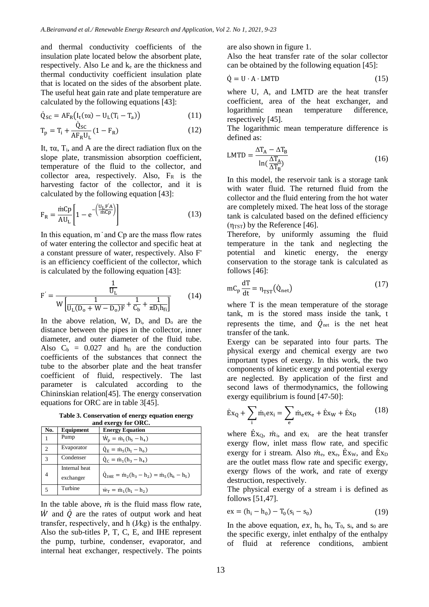and thermal conductivity coefficients of the insulation plate located below the absorbent plate, respectively. Also Le and  $k<sub>e</sub>$  are the thickness and thermal conductivity coefficient insulation plate that is located on the sides of the absorbent plate. The useful heat gain rate and plate temperature are calculated by the following equations [43]:

$$
\dot{Q}_{SC} = AF_R(I_t(\tau \alpha) - U_L(T_i - T_a))
$$
\n(11)

$$
T_{p} = T_{i} + \frac{Q_{SC}}{AF_{R}U_{L}}(1 - F_{R})
$$
\n(12)

It, τα, Ti, and A are the direct radiation flux on the slope plate, transmission absorption coefficient, temperature of the fluid to the collector, and collector area, respectively. Also,  $F_R$  is the harvesting factor of the collector, and it is calculated by the following equation [43]:

$$
F_R = \frac{\text{mCp}}{\text{AU}_L} \left[ 1 - e^{-\left(\frac{U_L F^{'A}}{\text{mCp}}\right)} \right]
$$
(13)

In this equation, m ̇ and Cp are the mass flow rates of water entering the collector and specific heat at a constant pressure of water, respectively. Also F' is an efficiency coefficient of the collector, which is calculated by the following equation [43]:

$$
F' = \frac{\frac{1}{U_L}}{W \left[ \frac{1}{U_L (D_o + W - D_o) F} + \frac{1}{C_b} + \frac{1}{\pi D_i h_{fi}} \right]}
$$
(14)

In the above relation,  $W$ ,  $D_i$ , and  $D_o$  are the distance between the pipes in the collector, inner diameter, and outer diameter of the fluid tube. Also  $C_b = 0.027$  and  $h_{fi}$  are the conduction coefficients of the substances that connect the tube to the absorber plate and the heat transfer coefficient of fluid, respectively. The last parameter is calculated according to the Chininskian relation[45]. The energy conservation equations for ORC are in table 3[45].

**Table 3. Conservation of energy equation energy and exergy for ORC.**

| No.          | Equipment                  | <b>Energy Equation</b>                                         |
|--------------|----------------------------|----------------------------------------------------------------|
|              | Pump                       | $W_p = m_1(h_5 - h_4)$                                         |
| C            | Evaporator                 | $\dot{Q}_E = \dot{m}_5(h_1 - h_6)$                             |
| $\mathbf{3}$ | Condenser                  | $Q_c = m_1(h_3 - h_4)$                                         |
| 4            | Internal heat<br>exchanger | $Q_{\text{IHE}} = \dot{m}_2(h_3 - h_2) = \dot{m}_5(h_6 - h_5)$ |
|              | Turbine                    | $\dot{w}_T = \dot{m}_1(h_1 - h_2)$                             |

In the table above,  $\dot{m}$  is the fluid mass flow rate,  $\dot{W}$  and  $\dot{Q}$  are the rates of output work and heat transfer, respectively, and h (J⁄kg) is the enthalpy. Also the sub-titles P, T, C, E, and IHE represent the pump, turbine, condenser, evaporator, and internal heat exchanger, respectively. The points are also shown in figure 1.

Also the heat transfer rate of the solar collector can be obtained by the following equation [45]:

$$
\dot{Q} = U \cdot A \cdot LMTD \tag{15}
$$

where U, A, and LMTD are the heat transfer coefficient, area of the heat exchanger, and logarithmic mean temperature difference, respectively [45].

The logarithmic mean temperature difference is defined as:

$$
LMTD = \frac{\Delta T_A - \Delta T_B}{\ln(\frac{\Delta T_A}{\Delta T_B})}
$$
(16)

In this model, the reservoir tank is a storage tank with water fluid. The returned fluid from the collector and the fluid entering from the hot water are completely mixed. The heat loss of the storage tank is calculated based on the defined efficiency  $(\eta_{TST})$  by the Reference [46].

Therefore, by uniformly assuming the fluid temperature in the tank and neglecting the potential and kinetic energy, the energy conservation to the storage tank is calculated as follows [46]:

$$
mC_p \frac{dT}{dt} = \eta_{TST}(\dot{Q}_{net})
$$
 (17)

where T is the mean temperature of the storage tank, m is the stored mass inside the tank, t represents the time, and  $\dot{Q}_{\text{net}}$  is the net heat transfer of the tank.

Exergy can be separated into four parts. The physical exergy and chemical exergy are two important types of exergy. In this work, the two components of kinetic exergy and potential exergy are neglected. By application of the first and second laws of thermodynamics, the following exergy equilibrium is found [47-50]:

$$
\dot{\mathbf{E}}\mathbf{x}_{Q} + \sum_{i} \dot{\mathbf{m}}_{i} \mathbf{e} \mathbf{x}_{i} = \sum_{e} \dot{\mathbf{m}}_{e} \mathbf{e} \mathbf{x}_{e} + \dot{\mathbf{E}} \mathbf{x}_{W} + \dot{\mathbf{E}} \mathbf{x}_{D}
$$
(18)

where  $\dot{E}x_0$ ,  $\dot{m}_i$ , and  $ex_i$  are the heat transfer exergy flow, inlet mass flow rate, and specific exergy for i stream. Also  $\dot{m}_e$ , ex<sub>e</sub>,  $\dot{E}x_W$ , and  $\dot{E}x_D$ are the outlet mass flow rate and specific exergy, exergy flows of the work, and rate of exergy destruction, respectively.

The physical exergy of a stream i is defined as follows [51,47].

$$
ex = (h_i - h_0) - T_0(s_i - s_0)
$$
 (19)

In the above equation,  $ex$ ,  $h_i$ ,  $h_0$ ,  $T_0$ ,  $s_i$ , and  $s_0$  are the specific exergy, inlet enthalpy of the enthalpy of fluid at reference conditions, ambient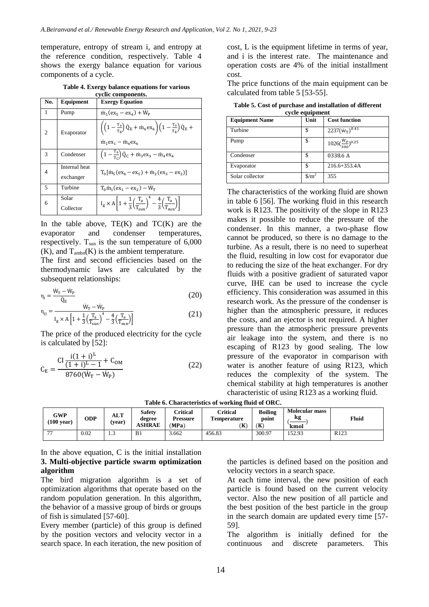temperature, entropy of stream i, and entropy at the reference condition, respectively. Table 4 shows the exergy balance equation for various components of a cycle.

**Table 4. Exergy balance equations for various cyclic components.**

| No. | Equipment                  | <b>Exergy Equation</b>                                                                                                                                                                      |
|-----|----------------------------|---------------------------------------------------------------------------------------------------------------------------------------------------------------------------------------------|
| 1   | Pump                       | $\dot{m}_1$ (ex <sub>5</sub> – ex <sub>4</sub> ) + $\dot{W}_P$                                                                                                                              |
| 2   | Evaporator                 | $\left( \left( 1 - \frac{T_0}{T_E} \right) \dot{Q}_E + \dot{m}_6 e x_6 \right) \left( 1 - \frac{T_0}{T_E} \right) \dot{Q}_E +$<br>$\dot{m}_1$ ex <sub>1</sub> – $\dot{m}_6$ ex <sub>6</sub> |
| 3   | Condenser                  | $\left(1-\frac{T_0}{T_c}\right)\dot{Q}_C + \dot{m}_3ex_3 - \dot{m}_4ex_4$                                                                                                                   |
| 4   | Internal heat<br>exchanger | $T_0$ [m <sub>5</sub> (ex <sub>6</sub> – ex <sub>5</sub> ) + m <sub>2</sub> (ex <sub>3</sub> – ex <sub>2</sub> )]                                                                           |
| 5   | Turbine                    | $T_0$ m <sub>1</sub> (ex <sub>1</sub> – ex <sub>2</sub> ) – $W_T$                                                                                                                           |
| 6   | Solar<br>Collector         | $I_g \times A \left[1 + \frac{1}{3} \left(\frac{T_a}{T_{\text{max}}}\right)^4 - \frac{4}{3} \left(\frac{T_a}{T_{\text{max}}}\right)\right]$                                                 |

In the table above,  $TE(K)$  and  $TC(K)$  are the evaporator and condenser temperatures, respectively.  $T_{sun}$  is the sun temperature of  $6,000$  $(K)$ , and  $T_{ambn}(K)$  is the ambient temperature.

The first and second efficiencies based on the thermodynamic laws are calculated by the subsequent relationships:

$$
\eta_{\rm I} = \frac{\dot{W}_{\rm T} - \dot{W}_{\rm P}}{\dot{Q}_{\rm E}}\tag{20}
$$

$$
\eta_{II} = \frac{\dot{W}_{T} - \dot{W}_{P}}{I_{g} \times A \left[ 1 + \frac{1}{3} \left( \frac{T_{a}}{T_{sun}} \right)^{4} - \frac{4}{3} \left( \frac{T_{a}}{T_{sun}} \right) \right]}
$$
(21)

The price of the produced electricity for the cycle is calculated by [52]:

$$
C_{E} = \frac{CI \frac{i(1+i)^{L}}{(1+i)^{L} - 1} + C_{OM}}{8760(W_{T} - W_{P})}
$$
(22)

cost, L is the equipment lifetime in terms of year, and i is the interest rate. The maintenance and operation costs are 4% of the initial installment cost.

The price functions of the main equipment can be calculated from table 5 [53-55].

**Table 5. Cost of purchase and installation of different cycle equipment**

| <b>Equipment Name</b> | суск сдигршент<br>Unit          | <b>Cost function</b>           |
|-----------------------|---------------------------------|--------------------------------|
|                       |                                 |                                |
| Turbine               | \$                              | $2237(w_T)^{0.41}$             |
| Pump                  | \$                              | $1026(\frac{W_p}{300})^{0.25}$ |
| Condenser             | S                               | 0338.6A                        |
| Evaporator            |                                 | $216.6 + 353.4A$               |
| Solar collector       | $\frac{\text{m}^2}{\text{m}^2}$ | 355                            |

The characteristics of the working fluid are shown in table 6 [56]. The working fluid in this research work is R123. The positivity of the slope in R123 makes it possible to reduce the pressure of the condenser. In this manner, a two-phase flow cannot be produced, so there is no damage to the turbine. As a result, there is no need to superheat the fluid, resulting in low cost for evaporator due to reducing the size of the heat exchanger. For dry fluids with a positive gradient of saturated vapor curve, IHE can be used to increase the cycle efficiency. This consideration was assumed in this research work. As the pressure of the condenser is higher than the atmospheric pressure, it reduces the costs, and an ejector is not required. A higher pressure than the atmospheric pressure prevents air leakage into the system, and there is no escaping of R123 by good sealing. The low pressure of the evaporator in comparison with water is another feature of using R123, which reduces the complexity of the system. The chemical stability at high temperatures is another characteristic of using R123 as a working fluid.

| <b>GWP</b><br>$(100 \text{ year})$ | ODP  | <b>ALT</b><br>(vear) | Safety<br>degree<br><b>ASHRAE</b> | Critical<br><b>Pressure</b><br>(MPa) | Critical<br><b>Temperature</b><br>Έ | <b>Boiling</b><br>point<br>(K | <b>Molecular mass</b><br>kg<br>kmol | Fluid            |
|------------------------------------|------|----------------------|-----------------------------------|--------------------------------------|-------------------------------------|-------------------------------|-------------------------------------|------------------|
| $\overline{\phantom{a}}$           | 0.02 | 1.3                  | B1                                | 3.662                                | 456.83                              | 300.97                        | 152.93                              | R <sub>123</sub> |
|                                    |      |                      |                                   |                                      |                                     |                               |                                     |                  |

In the above equation, C is the initial installation **3. Multi-objective particle swarm optimization algorithm**

The bird migration algorithm is a set of optimization algorithms that operate based on the random population generation. In this algorithm, the behavior of a massive group of birds or groups of fish is simulated [57-60].

Every member (particle) of this group is defined by the position vectors and velocity vector in a search space. In each iteration, the new position of

the particles is defined based on the position and velocity vectors in a search space.

At each time interval, the new position of each particle is found based on the current velocity vector. Also the new position of all particle and the best position of the best particle in the group in the search domain are updated every time [57- 59].

The algorithm is initially defined for the continuous and discrete parameters. This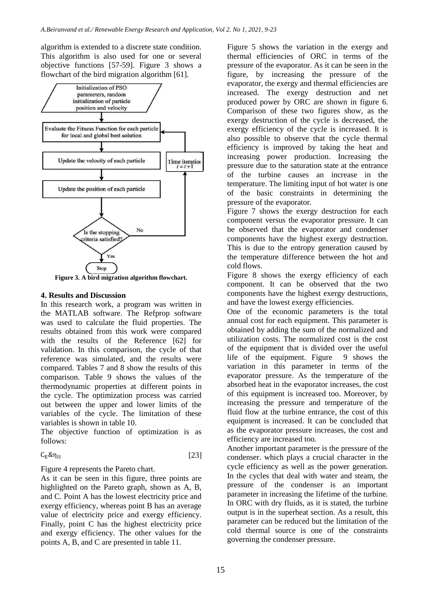algorithm is extended to a discrete state condition. This algorithm is also used for one or several objective functions [57-59]. Figure 3 shows a flowchart of the bird migration algorithm [61].



**Figure 3. A bird migration algorithm flowchart.**

### **4. Results and Discussion**

In this research work, a program was written in the MATLAB software. The Refprop software was used to calculate the fluid properties. The results obtained from this work were compared with the results of the Reference [62] for validation. In this comparison, the cycle of that reference was simulated, and the results were compared. Tables 7 and 8 show the results of this comparison. Table 9 shows the values of the thermodynamic properties at different points in the cycle. The optimization process was carried out between the upper and lower limits of the variables of the cycle. The limitation of these variables is shown in table 10.

The objective function of optimization is as follows:

$$
C_E \& \eta_{II} \tag{23}
$$

Figure 4 represents the Pareto chart.

As it can be seen in this figure, three points are highlighted on the Pareto graph, shown as A, B, and C. Point A has the lowest electricity price and exergy efficiency, whereas point B has an average value of electricity price and exergy efficiency. Finally, point C has the highest electricity price and exergy efficiency. The other values for the points A, B, and C are presented in table 11.

Figure 5 shows the variation in the exergy and thermal efficiencies of ORC in terms of the pressure of the evaporator. As it can be seen in the figure, by increasing the pressure of the evaporator, the exergy and thermal efficiencies are increased. The exergy destruction and net produced power by ORC are shown in figure 6. Comparison of these two figures show, as the exergy destruction of the cycle is decreased, the exergy efficiency of the cycle is increased. It is also possible to observe that the cycle thermal efficiency is improved by taking the heat and increasing power production. Increasing the pressure due to the saturation state at the entrance of the turbine causes an increase in the temperature. The limiting input of hot water is one of the basic constraints in determining the pressure of the evaporator.

Figure 7 shows the exergy destruction for each component versus the evaporator pressure. It can be observed that the evaporator and condenser components have the highest exergy destruction. This is due to the entropy generation caused by the temperature difference between the hot and cold flows.

Figure 8 shows the exergy efficiency of each component. It can be observed that the two components have the highest exergy destructions, and have the lowest exergy efficiencies.

One of the economic parameters is the total annual cost for each equipment. This parameter is obtained by adding the sum of the normalized and utilization costs. The normalized cost is the cost of the equipment that is divided over the useful life of the equipment. Figure 9 shows the variation in this parameter in terms of the evaporator pressure. As the temperature of the absorbed heat in the evaporator increases, the cost of this equipment is increased too. Moreover, by increasing the pressure and temperature of the fluid flow at the turbine entrance, the cost of this equipment is increased. It can be concluded that as the evaporator pressure increases, the cost and efficiency are increased too.

Another important parameter is the pressure of the condenser. which plays a crucial character in the cycle efficiency as well as the power generation. In the cycles that deal with water and steam, the pressure of the condenser is an important parameter in increasing the lifetime of the turbine. In ORC with dry fluids, as it is stated, the turbine output is in the superheat section. As a result, this parameter can be reduced but the limitation of the cold thermal source is one of the constraints governing the condenser pressure.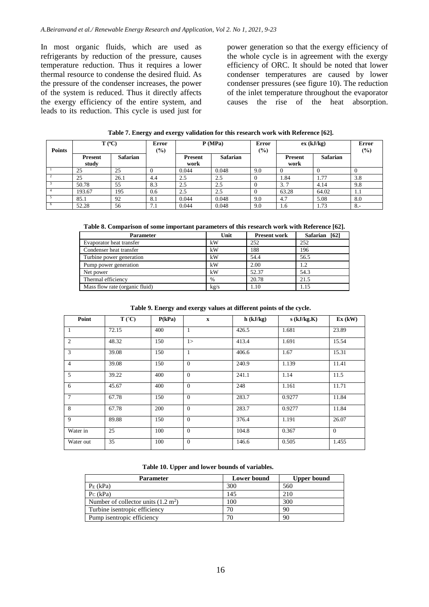In most organic fluids, which are used as refrigerants by reduction of the pressure, causes temperature reduction. Thus it requires a lower thermal resource to condense the desired fluid. As the pressure of the condenser increases, the power of the system is reduced. Thus it directly affects the exergy efficiency of the entire system, and leads to its reduction. This cycle is used just for power generation so that the exergy efficiency of the whole cycle is in agreement with the exergy efficiency of ORC. It should be noted that lower condenser temperatures are caused by lower condenser pressures (see figure 10). The reduction of the inlet temperature throughout the evaporator causes the rise of the heat absorption.

| Table 7. Energy and exergy validation for this research work with Reference [62]. |  |
|-----------------------------------------------------------------------------------|--|
|-----------------------------------------------------------------------------------|--|

| <b>Points</b> | $T (^{\circ}C)$ |                 | <b>Error</b><br>$(\%)$ |                | P(MPa)          |     | ex (kJ/kg)     |                 | <b>Error</b><br>$(\%)$ |
|---------------|-----------------|-----------------|------------------------|----------------|-----------------|-----|----------------|-----------------|------------------------|
|               | Present         | <b>Safarian</b> |                        | <b>Present</b> | <b>Safarian</b> |     | <b>Present</b> | <b>Safarian</b> |                        |
|               | study           |                 |                        | work           |                 |     | work           |                 |                        |
|               | 25              | 25              |                        | 0.044          | 0.048           | 9.0 | 0              |                 |                        |
|               | 25              | 26.1            | 4.4                    | 2.5            | 2.5             |     | 1.84           | 1.77            | 3.8                    |
|               | 50.78           | 55              | 8.3                    | 2.5            | 2.5             |     | 3.7            | 4.14            | 9.8                    |
|               | 193.67          | 195             | 0.6                    | 2.5            | 2.5             |     | 63.28          | 64.02           | 1.1                    |
|               | 85.1            | 92              | 8.1                    | 0.044          | 0.048           | 9.0 | 4.7            | 5.08            | 8.0                    |
| $\theta$      | 52.28           | 56              | 7.1                    | 0.044          | 0.048           | 9.0 | 1.6            | 1.73            | $8 -$                  |

**Table 8. Comparison of some important parameters of this research work with Reference [62].**

| <b>Parameter</b>               | Unit          | <b>Present work</b> | Safarian [62] |
|--------------------------------|---------------|---------------------|---------------|
| Evaporator heat transfer       | kW            | 252                 | 252           |
| Condenser heat transfer        | kW            | 188                 | 196           |
| Turbine power generation       | kW            | 54.4                | 56.5          |
| Pump power generation          | kW            | 2.00                | 1.2           |
| Net power                      | kW            | 52.37               | 54.3          |
| Thermal efficiency             | $\frac{0}{0}$ | 20.78               | 21.5          |
| Mass flow rate (organic fluid) | kg/s          | 1.10                | 1.15          |

### **Table 9. Energy and exergy values at different points of the cycle.**

| Point           | $T(^{\circ}C)$ | P(kPa) | $\mathbf X$ | $h$ (kJ/kg) | $s$ (kJ/kg.K) | Ex (kW)  |
|-----------------|----------------|--------|-------------|-------------|---------------|----------|
| $\overline{1}$  | 72.15          | 400    | 1           | 426.5       | 1.681         | 23.89    |
| $\mathcal{L}$   | 48.32          | 150    | 1>          | 413.4       | 1.691         | 15.54    |
| $\mathcal{R}$   | 39.08          | 150    | 1           | 406.6       | 1.67          | 15.31    |
| $\overline{4}$  | 39.08          | 150    | $\Omega$    | 240.9       | 1.139         | 11.41    |
| $\sqrt{5}$      | 39.22          | 400    | $\Omega$    | 241.1       | 1.14          | 11.5     |
| - 6             | 45.67          | 400    | $\theta$    | 248         | 1.161         | 11.71    |
| $7\phantom{.0}$ | 67.78          | 150    | $\Omega$    | 283.7       | 0.9277        | 11.84    |
| -8              | 67.78          | 200    | $\Omega$    | 283.7       | 0.9277        | 11.84    |
| - 9             | 89.88          | 150    | $\Omega$    | 376.4       | 1.191         | 26.07    |
| Water in        | 25             | 100    | $\Omega$    | 104.8       | 0.367         | $\Omega$ |
| Water out       | 35             | 100    | $\Omega$    | 146.6       | 0.505         | 1.455    |

|  |  | Table 10. Upper and lower bounds of variables. |  |  |  |
|--|--|------------------------------------------------|--|--|--|
|--|--|------------------------------------------------|--|--|--|

| <b>Parameter</b>                              | <b>Lower bound</b> | <b>Upper bound</b> |
|-----------------------------------------------|--------------------|--------------------|
| $PE$ (kPa)                                    | 300                | 560                |
| $P_C$ (kPa)                                   | 145                | 210                |
| Number of collector units $(1.2 \text{ m}^2)$ | 100                | 300                |
| Turbine is entropic efficiency                | 70                 | 90                 |
| Pump is entropic efficiency                   | 70                 | 90                 |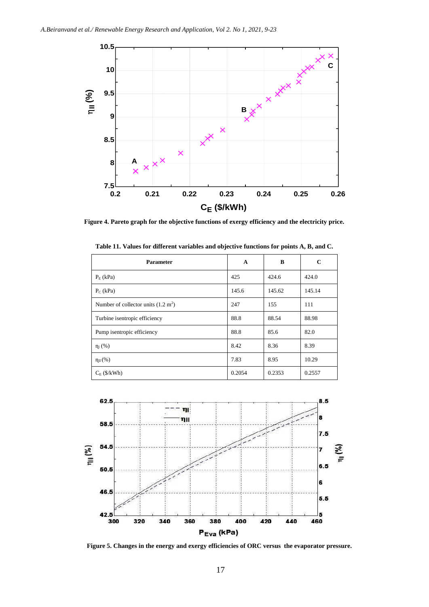

**Figure 4. Pareto graph for the objective functions of exergy efficiency and the electricity price.** 

| <b>Parameter</b>                              | A      | B      | C      |
|-----------------------------------------------|--------|--------|--------|
| $P_{E}$ (kPa)                                 | 425    | 424.6  | 424.0  |
| $P_C$ (kPa)                                   | 145.6  | 145.62 | 145.14 |
| Number of collector units $(1.2 \text{ m}^2)$ | 247    | 155    | 111    |
| Turbine isentropic efficiency                 | 88.8   | 88.54  | 88.98  |
| Pump is entropic efficiency                   | 88.8   | 85.6   | 82.0   |
| $\eta_I(\%)$                                  | 8.42   | 8.36   | 8.39   |
| $\eta_{II}(\%)$                               | 7.83   | 8.95   | 10.29  |
| $C_E$ (\$/kWh)                                | 0.2054 | 0.2353 | 0.2557 |

**Table 11. Values for different variables and objective functions for points A, B, and C.**



**Figure 5. Changes in the energy and exergy efficiencies of ORC versus the evaporator pressure.**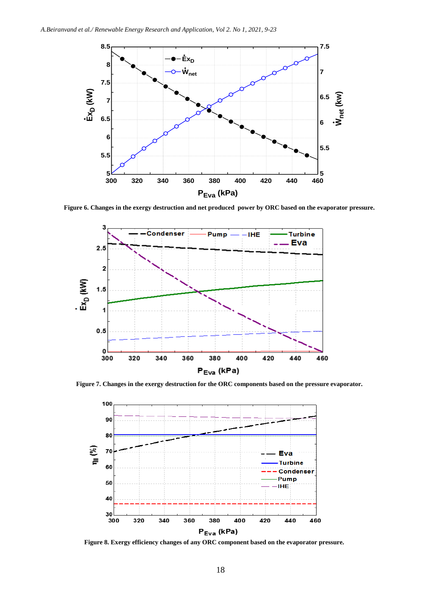

**Figure 6. Changes in the exergy destruction and net produced power by ORC based on the evaporator pressure.**



**Figure 7. Changes in the exergy destruction for the ORC components based on the pressure evaporator.** 



**Figure 8. Exergy efficiency changes of any ORC component based on the evaporator pressure.**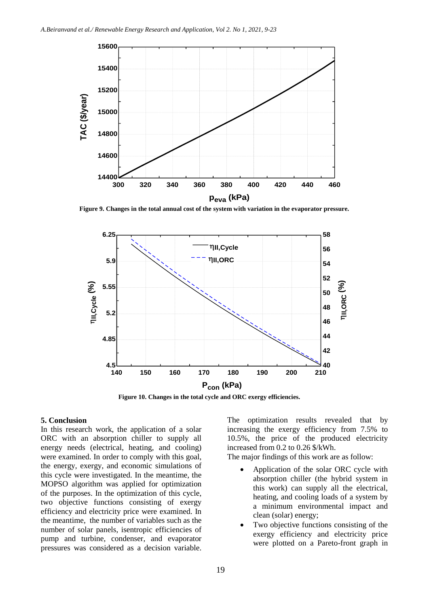

**Figure 9. Changes in the total annual cost of the system with variation in the evaporator pressure.**



**Figure 10. Changes in the total cycle and ORC exergy efficiencies.**

#### **5. Conclusion**

In this research work, the application of a solar ORC with an absorption chiller to supply all energy needs (electrical, heating, and cooling) were examined. In order to comply with this goal, the energy, exergy, and economic simulations of this cycle were investigated. In the meantime, the MOPSO algorithm was applied for optimization of the purposes. In the optimization of this cycle, two objective functions consisting of exergy efficiency and electricity price were examined. In the meantime, the number of variables such as the number of solar panels, isentropic efficiencies of pump and turbine, condenser, and evaporator pressures was considered as a decision variable.

The optimization results revealed that by increasing the exergy efficiency from 7.5% to 10.5%, the price of the produced electricity increased from 0.2 to 0.26 \$/kWh.

The major findings of this work are as follow:

- Application of the solar ORC cycle with absorption chiller (the hybrid system in this work) can supply all the electrical, heating, and cooling loads of a system by a minimum environmental impact and clean (solar) energy;
- Two objective functions consisting of the exergy efficiency and electricity price were plotted on a Pareto-front graph in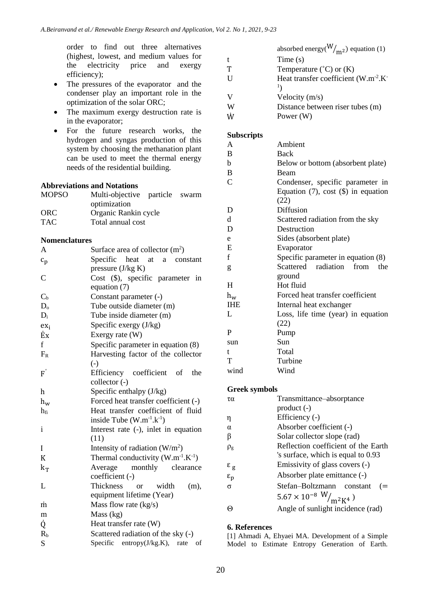order to find out three alternatives (highest, lowest, and medium values for the electricity price and exergy efficiency);

- The pressures of the evaporator and the condenser play an important role in the optimization of the solar ORC;
- The maximum exergy destruction rate is in the evaporator;
- For the future research works, the hydrogen and syngas production of this system by choosing the methanation plant can be used to meet the thermal energy needs of the residential building.

# **Abbreviations and Notations**

| <b>MOPSO</b> | Multi-objective particle swarm |  |
|--------------|--------------------------------|--|
|              | optimization                   |  |
| <b>ORC</b>   | Organic Rankin cycle           |  |
| <b>TAC</b>   | Total annual cost              |  |

## **Nomenclatures**

| Α               | Surface area of collector $(m^2)$           |
|-----------------|---------------------------------------------|
| $c_p$           | Specific<br>heat at<br>a constant           |
|                 | pressure $(J/kg K)$                         |
| $\mathcal{C}$   | Cost (\$), specific parameter in            |
|                 | equation (7)                                |
| $C_{b}$         | Constant parameter (-)                      |
| D <sub>o</sub>  | Tube outside diameter (m)                   |
| $D_i$           | Tube inside diameter (m)                    |
| ex <sub>i</sub> | Specific exergy $(J/kg)$                    |
| Ėx              | Exergy rate (W)                             |
| f               | Specific parameter in equation (8)          |
| $F_R$           | Harvesting factor of the collector          |
|                 | $\left( -\right)$                           |
| $F^{'}$         | Efficiency coefficient of<br>the            |
|                 | collector (-)                               |
| h               | Specific enthalpy (J/kg)                    |
| $h_w$           | Forced heat transfer coefficient (-)        |
| $h_{fi}$        | Heat transfer coefficient of fluid          |
|                 | inside Tube $(W.m^{-1}.k^{-1})$             |
| i               | Interest rate (-), inlet in equation        |
|                 | (11)                                        |
| I               | Intensity of radiation $(W/m^2)$            |
| K               | Thermal conductivity $(W.m^{-1}.K^{-1})$    |
| $k_T$           | Average<br>monthly clearance                |
|                 | coefficient (-)                             |
| L               | Thickness<br>width<br>(m),<br><sub>or</sub> |
|                 | equipment lifetime (Year)                   |
| m               | Mass flow rate $(kg/s)$                     |
| m               | Mass (kg)                                   |
| Q               | Heat transfer rate (W)                      |
| R <sub>b</sub>  | Scattered radiation of the sky (-)          |
| S               | Specific entropy $(J/kg.K)$ ,<br>rate<br>οf |

|   | absorbed energy( $\frac{W}{m^2}$ ) equation (1) |
|---|-------------------------------------------------|
| t | Time $(s)$                                      |
| Τ | Temperature $({}^{\circ}C)$ or $(K)$            |
| U | Heat transfer coefficient $(W.m^{-2}.K^{-1})$   |
|   | $1\lambda$                                      |
| V | Velocity $(m/s)$                                |
| W | Distance between riser tubes (m)                |
| Ŵ | Power (W)                                       |

# **Subscripts**

| pubset ipis   |                                          |
|---------------|------------------------------------------|
| A             | Ambient                                  |
| B             | Back                                     |
| h             | Below or bottom (absorbent plate)        |
| B             | Beam                                     |
| $\mathcal{C}$ | Condenser, specific parameter in         |
|               | Equation $(7)$ , cost $(\$)$ in equation |
|               | (22)                                     |
| D             | Diffusion                                |
| d             | Scattered radiation from the sky         |
| D             | Destruction                              |
| e             | Sides (absorbent plate)                  |
| E             | Evaporator                               |
| f             | Specific parameter in equation (8)       |
| g             | Scattered radiation from<br>the          |
|               | ground                                   |
| H             | Hot fluid                                |
| $h_w$         | Forced heat transfer coefficient         |
| <b>IHE</b>    | Internal heat exchanger                  |
| L             | Loss, life time (year) in equation       |
|               | (22)                                     |
| P             | Pump                                     |
| sun           | Sun                                      |
| t             | Total                                    |
| T             | Turbine                                  |
| wind          | Wind                                     |
|               |                                          |

# **Greek symbols**

| τα                                                      | Transmittance-absorptance                                    |
|---------------------------------------------------------|--------------------------------------------------------------|
|                                                         | $product(-)$                                                 |
| η                                                       | Efficiency (-)                                               |
| $\alpha$                                                | Absorber coefficient (-)                                     |
| β                                                       | Solar collector slope (rad)                                  |
| $\rho_{\rm g}$                                          | Reflection coefficient of the Earth                          |
|                                                         | 's surface, which is equal to 0.93                           |
|                                                         | Emissivity of glass covers (-)                               |
| $\begin{array}{c} \epsilon_g \\ \epsilon_p \end{array}$ | Absorber plate emittance (-)                                 |
| $\sigma$                                                | Stefan-Boltzmann constant<br>$( = )$                         |
|                                                         | $5.67 \times 10^{-8} \frac{\text{W}}{\text{m}^2 \text{K}^4}$ |
| Θ                                                       | Angle of sunlight incidence (rad)                            |

## **6. References**

[1] Ahmadi A, Ehyaei MA. Development of a Simple Model to Estimate Entropy Generation of Earth.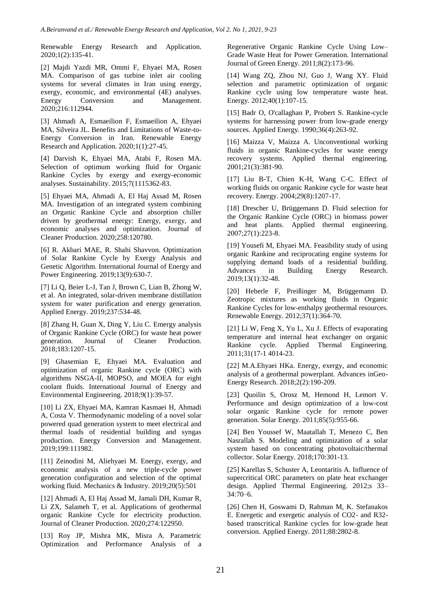Renewable Energy Research and Application. 2020;1(2):135-41.

[2] Majdi Yazdi MR, Ommi F, Ehyaei MA, Rosen MA. Comparison of gas turbine inlet air cooling systems for several climates in Iran using energy, exergy, economic, and environmental (4E) analyses. Energy Conversion and Management. 2020;216:112944.

[3] Ahmadi A, Esmaeilion F, Esmaeilion A, Ehyaei MA, Silveira JL. Benefits and Limitations of Waste-to-Energy Conversion in Iran. Renewable Energy Research and Application. 2020;1(1):27-45.

[4] Darvish K, Ehyaei MA, Atabi F, Rosen MA. Selection of optimum working fluid for Organic Rankine Cycles by exergy and exergy-economic analyses. Sustainability. 2015;7(1115362-83.

[5] Ehyaei MA, Ahmadi A, El Haj Assad M, Rosen MA. Investigation of an integrated system combining an Organic Rankine Cycle and absorption chiller driven by geothermal energy: Energy, exergy, and economic analyses and optimization. Journal of Cleaner Production. 2020;258:120780.

[6] R. Akbari MAE, R. Shahi Shavvon. Optimization of Solar Rankine Cycle by Exergy Analysis and Genetic Algorithm. International Journal of Energy and Power Engineering. 2019;13(9):630-7.

[7] Li Q, Beier L-J, Tan J, Brown C, Lian B, Zhong W, et al. An integrated, solar-driven membrane distillation system for water purification and energy generation. Applied Energy. 2019;237:534-48.

[8] Zhang H, Guan X, Ding Y, Liu C. Emergy analysis of Organic Rankine Cycle (ORC) for waste heat power generation. Journal of Cleaner Production. 2018;183:1207-15.

[9] Ghasemian E, Ehyaei MA. Evaluation and optimization of organic Rankine cycle (ORC) with algorithms NSGA-II, MOPSO, and MOEA for eight coolant fluids. International Journal of Energy and Environmental Engineering. 2018;9(1):39-57.

[10] Li ZX, Ehyaei MA, Kamran Kasmaei H, Ahmadi A, Costa V. Thermodynamic modeling of a novel solar powered quad generation system to meet electrical and thermal loads of residential building and syngas production. Energy Conversion and Management. 2019;199:111982.

[11] Zeinodini M, Aliehyaei M. Energy, exergy, and economic analysis of a new triple-cycle power generation configuration and selection of the optimal working fluid. Mechanics & Industry. 2019;20(5):501

[12] Ahmadi A, El Haj Assad M, Jamali DH, Kumar R, Li ZX, Salameh T, et al. Applications of geothermal organic Rankine Cycle for electricity production. Journal of Cleaner Production. 2020;274:122950.

[13] Roy JP, Mishra MK, Misra A. Parametric Optimization and Performance Analysis of a Regenerative Organic Rankine Cycle Using Low– Grade Waste Heat for Power Generation. International Journal of Green Energy. 2011;8(2):173-96.

[14] Wang ZQ, Zhou NJ, Guo J, Wang XY. Fluid selection and parametric optimization of organic Rankine cycle using low temperature waste heat. Energy. 2012;40(1):107-15.

[15] Badr O, O'callaghan P, Probert S. Rankine-cycle systems for harnessing power from low-grade energy sources. Applied Energy. 1990;36(4):263-92.

[16] Maizza V, Maizza A. Unconventional working fluids in organic Rankine-cycles for waste energy recovery systems. Applied thermal engineering. 2001;21(3):381-90.

[17] Liu B-T, Chien K-H, Wang C-C. Effect of working fluids on organic Rankine cycle for waste heat recovery. Energy. 2004;29(8):1207-17.

[18] Drescher U, Brüggemann D. Fluid selection for the Organic Rankine Cycle (ORC) in biomass power and heat plants. Applied thermal engineering. 2007;27(1):223-8.

[19] Yousefi M, Ehyaei MA. Feasibility study of using organic Rankine and reciprocating engine systems for supplying demand loads of a residential building. Advances in Building Energy Research. 2019;13(1):32-48.

[20] Heberle F, Preißinger M, Brüggemann D. Zeotropic mixtures as working fluids in Organic Rankine Cycles for low-enthalpy geothermal resources. Renewable Energy. 2012;37(1):364-70.

[21] Li W, Feng X, Yu L, Xu J. Effects of evaporating temperature and internal heat exchanger on organic Rankine cycle. Applied Thermal Engineering. 2011;31(17-1 4014-23.

[22] M.A.Ehyaei HKa. Energy, exergy, and economic analysis of a geothermal powerplant. Advances inGeo-Energy Research. 2018;2(2):190-209.

[23] Quoilin S, Orosz M, Hemond H, Lemort V. Performance and design optimization of a low-cost solar organic Rankine cycle for remote power generation. Solar Energy. 2011;85(5):955-66.

[24] Ben Youssef W, Maatallah T, Menezo C, Ben Nasrallah S. Modeling and optimization of a solar system based on concentrating photovoltaic/thermal collector. Solar Energy. 2018;170:301-13.

[25] Karellas S, Schuster A, Leontaritis A. Influence of supercritical ORC parameters on plate heat exchanger design. Applied Thermal Engineering. 2012;s 33– 34:70–6.

[26] Chen H, Goswami D, Rahman M, K. Stefanakos E. Energetic and exergetic analysis of CO2- and R32 based transcritical Rankine cycles for low-grade heat conversion. Applied Energy. 2011;88:2802-8.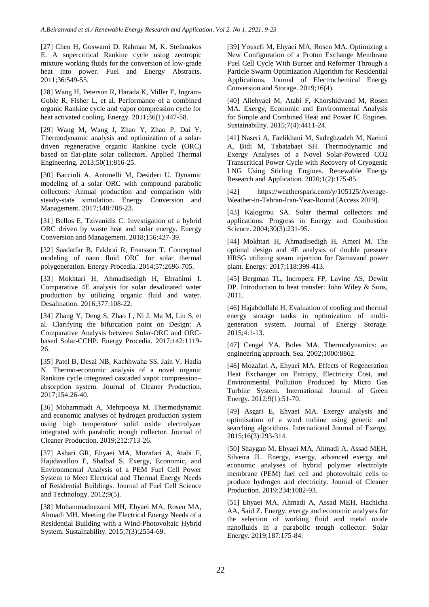[27] Chen H, Goswami D, Rahman M, K. Stefanakos E. A supercritical Rankine cycle using zeotropic mixture working fluids for the conversion of low-grade heat into power. Fuel and Energy Abstracts. 2011;36:549-55.

[28] Wang H, Peterson R, Harada K, Miller E, Ingram-Goble R, Fisher L, et al. Performance of a combined organic Rankine cycle and vapor compression cycle for heat activated cooling. Energy. 2011;36(1):447-58.

[29] Wang M, Wang J, Zhao Y, Zhao P, Dai Y. Thermodynamic analysis and optimization of a solardriven regenerative organic Rankine cycle (ORC) based on flat-plate solar collectors. Applied Thermal Engineering. 2013;50(1):816-25.

[30] Baccioli A, Antonelli M, Desideri U. Dynamic modeling of a solar ORC with compound parabolic collectors: Annual production and comparison with steady-state simulation. Energy Conversion and Management. 2017;148:708-23.

[31] Bellos E, Tzivanidis C. Investigation of a hybrid ORC driven by waste heat and solar energy. Energy Conversion and Management. 2018;156:427-39.

[32] Saadatfar B, Fakhrai R, Fransson T. Conceptual modeling of nano fluid ORC for solar thermal polygeneration. Energy Procedia. 2014;57:2696-705.

[33] Mokhtari H, Ahmadisedigh H, Ebrahimi I. Comparative 4E analysis for solar desalinated water production by utilizing organic fluid and water. Desalination. 2016;377:108-22.

[34] Zhang Y, Deng S, Zhao L, Ni J, Ma M, Lin S, et al. Clarifying the bifurcation point on Design: A Comparative Analysis between Solar-ORC and ORCbased Solar-CCHP. Energy Procedia. 2017;142:1119- 26.

[35] Patel B, Desai NB, Kachhwaha SS, Jain V, Hadia N. Thermo-economic analysis of a novel organic Rankine cycle integrated cascaded vapor compression– absorption system. Journal of Cleaner Production. 2017;154:26-40.

[36] Mohammadi A, Mehrpooya M. Thermodynamic and economic analyses of hydrogen production system using high temperature solid oxide electrolyzer integrated with parabolic trough collector. Journal of Cleaner Production. 2019;212:713-26.

[37] Ashari GR, Ehyaei MA, Mozafari A, Atabi F, Hajidavalloo E, Shalbaf S. Exergy, Economic, and Environmental Analysis of a PEM Fuel Cell Power System to Meet Electrical and Thermal Energy Needs of Residential Buildings. Journal of Fuel Cell Science and Technology. 2012;9(5).

[38] Mohammadnezami MH, Ehyaei MA, Rosen MA, Ahmadi MH. Meeting the Electrical Energy Needs of a Residential Building with a Wind-Photovoltaic Hybrid System. Sustainability. 2015;7(3):2554-69.

[39] Yousefi M, Ehyaei MA, Rosen MA. Optimizing a New Configuration of a Proton Exchange Membrane Fuel Cell Cycle With Burner and Reformer Through a Particle Swarm Optimization Algorithm for Residential Applications. Journal of Electrochemical Energy Conversion and Storage. 2019;16(4).

[40] Aliehyaei M, Atabi F, Khorshidvand M, Rosen MA. Exergy, Economic and Environmental Analysis for Simple and Combined Heat and Power IC Engines. Sustainability. 2015;7(4):4411-24.

[41] Naseri A, Fazlikhani M, Sadeghzadeh M, Naeimi A, Bidi M, Tabatabaei SH. Thermodynamic and Exergy Analyses of a Novel Solar-Powered CO2 Transcritical Power Cycle with Recovery of Cryogenic LNG Using Stirling Engines. Renewable Energy Research and Application. 2020;1(2):175-85.

[42] https://weatherspark.com/y/105125/Average-Weather-in-Tehran-Iran-Year-Round [Access 2019].

[43] Kalogirou SA. Solar thermal collectors and applications. Progress in Energy and Combustion Science. 2004;30(3):231-95.

[44] Mokhtari H, Ahmadisedigh H, Ameri M. The optimal design and 4E analysis of double pressure HRSG utilizing steam injection for Damavand power plant. Energy. 2017;118:399-413.

[45] Bergman TL, Incropera FP, Lavine AS, Dewitt DP. Introduction to heat transfer: John Wiley & Sons, 2011.

[46] Hajabdollahi H. Evaluation of cooling and thermal energy storage tanks in optimization of multigeneration system. Journal of Energy Storage. 2015;4:1-13.

[47] Cengel YA, Boles MA. Thermodynamics: an engineering approach. Sea. 2002;1000:8862.

[48] Mozafari A, Ehyaei MA. Effects of Regeneration Heat Exchanger on Entropy, Electricity Cost, and Environmental Pollution Produced by Micro Gas Turbine System. International Journal of Green Energy. 2012;9(1):51-70.

[49] Asgari E, Ehyaei MA. Exergy analysis and optimisation of a wind turbine using genetic and searching algorithms. International Journal of Exergy. 2015;16(3):293-314.

[50] Shaygan M, Ehyaei MA, Ahmadi A, Assad MEH, Silveira JL. Energy, exergy, advanced exergy and economic analyses of hybrid polymer electrolyte membrane (PEM) fuel cell and photovoltaic cells to produce hydrogen and electricity. Journal of Cleaner Production. 2019;234:1082-93.

[51] Ehyaei MA, Ahmadi A, Assad MEH, Hachicha AA, Said Z. Energy, exergy and economic analyses for the selection of working fluid and metal oxide nanofluids in a parabolic trough collector. Solar Energy. 2019;187:175-84.